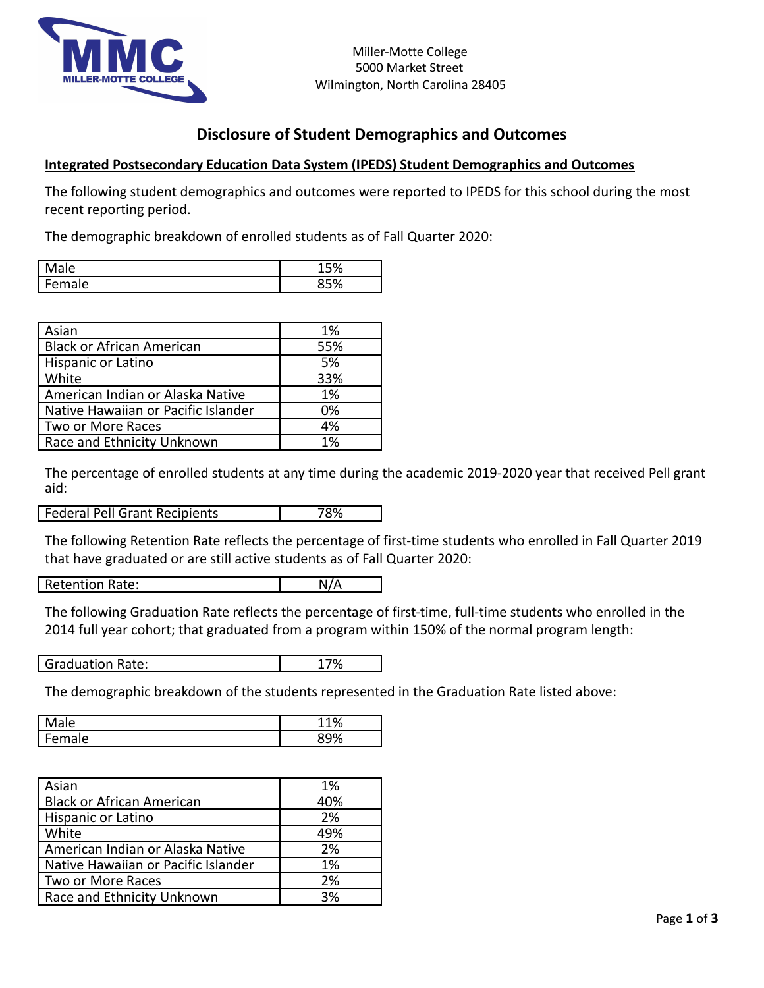

## **Disclosure of Student Demographics and Outcomes**

## **Integrated Postsecondary Education Data System (IPEDS) Student Demographics and Outcomes**

The following student demographics and outcomes were reported to IPEDS for this school during the most recent reporting period.

The demographic breakdown of enrolled students as of Fall Quarter 2020:

|                   | $\sim$ 0.7           |
|-------------------|----------------------|
| ◠<br>un<br>.<br>◡ | $\ddot{\phantom{0}}$ |

| Asian                               | 1%  |
|-------------------------------------|-----|
| <b>Black or African American</b>    | 55% |
| Hispanic or Latino                  | 5%  |
| White                               | 33% |
| American Indian or Alaska Native    | 1%  |
| Native Hawaiian or Pacific Islander | 0%  |
| Two or More Races                   | 4%  |
| Race and Ethnicity Unknown          | 1%  |

The percentage of enrolled students at any time during the academic 2019-2020 year that received Pell grant aid:

Federal Pell Grant Recipients 78%

The following Retention Rate reflects the percentage of first-time students who enrolled in Fall Quarter 2019 that have graduated or are still active students as of Fall Quarter 2020:

Retention Rate: N/A

The following Graduation Rate reflects the percentage of first-time, full-time students who enrolled in the 2014 full year cohort; that graduated from a program within 150% of the normal program length:

| <b>Graduation Rate:</b> |  |
|-------------------------|--|
|                         |  |

The demographic breakdown of the students represented in the Graduation Rate listed above:

|                       | $\mathbf{a}$ |
|-----------------------|--------------|
| $\sim$<br>,,,,,,<br>∽ | $\sim$       |

| Asian                               | 1%  |
|-------------------------------------|-----|
| Black or African American           | 40% |
| Hispanic or Latino                  | 2%  |
| White                               | 49% |
| American Indian or Alaska Native    | 2%  |
| Native Hawaiian or Pacific Islander | 1%  |
| Two or More Races                   | 2%  |
| Race and Ethnicity Unknown          | 3%  |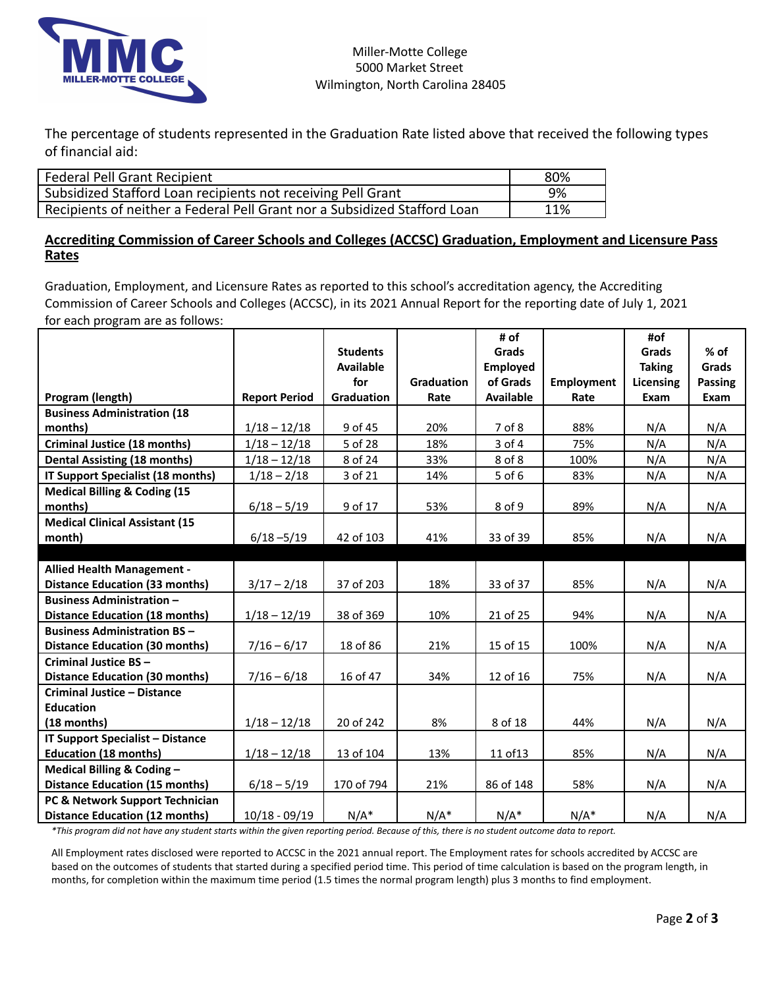

The percentage of students represented in the Graduation Rate listed above that received the following types of financial aid:

| <b>Federal Pell Grant Recipient</b>                                       | 80% |
|---------------------------------------------------------------------------|-----|
| Subsidized Stafford Loan recipients not receiving Pell Grant              | 9%  |
| Recipients of neither a Federal Pell Grant nor a Subsidized Stafford Loan | 11% |
|                                                                           |     |

## **Accrediting Commission of Career Schools and Colleges (ACCSC) Graduation, Employment and Licensure Pass Rates**

Graduation, Employment, and Licensure Rates as reported to this school's accreditation agency, the Accrediting Commission of Career Schools and Colleges (ACCSC), in its 2021 Annual Report for the reporting date of July 1, 2021 for each program are as follows:

|                                         |                      |                  |                   | # of             |                   | #of           |         |
|-----------------------------------------|----------------------|------------------|-------------------|------------------|-------------------|---------------|---------|
|                                         |                      | <b>Students</b>  |                   | Grads            |                   | Grads         | $%$ of  |
|                                         |                      | <b>Available</b> |                   | <b>Employed</b>  |                   | <b>Taking</b> | Grads   |
|                                         |                      | for              | <b>Graduation</b> | of Grads         | <b>Employment</b> | Licensing     | Passing |
| Program (length)                        | <b>Report Period</b> | Graduation       | Rate              | <b>Available</b> | Rate              | Exam          | Exam    |
| <b>Business Administration (18</b>      |                      |                  |                   |                  |                   |               |         |
| months)                                 | $1/18 - 12/18$       | 9 of 45          | 20%               | 7 of 8           | 88%               | N/A           | N/A     |
| <b>Criminal Justice (18 months)</b>     | $1/18 - 12/18$       | 5 of 28          | 18%               | 3 of 4           | 75%               | N/A           | N/A     |
| <b>Dental Assisting (18 months)</b>     | $1/18 - 12/18$       | 8 of 24          | 33%               | 8 of 8           | 100%              | N/A           | N/A     |
| IT Support Specialist (18 months)       | $1/18 - 2/18$        | 3 of 21          | 14%               | 5 of 6           | 83%               | N/A           | N/A     |
| <b>Medical Billing &amp; Coding (15</b> |                      |                  |                   |                  |                   |               |         |
| months)                                 | $6/18 - 5/19$        | 9 of 17          | 53%               | 8 of 9           | 89%               | N/A           | N/A     |
| <b>Medical Clinical Assistant (15</b>   |                      |                  |                   |                  |                   |               |         |
| month)                                  | $6/18 - 5/19$        | 42 of 103        | 41%               | 33 of 39         | 85%               | N/A           | N/A     |
|                                         |                      |                  |                   |                  |                   |               |         |
| <b>Allied Health Management -</b>       |                      |                  |                   |                  |                   |               |         |
| <b>Distance Education (33 months)</b>   | $3/17 - 2/18$        | 37 of 203        | 18%               | 33 of 37         | 85%               | N/A           | N/A     |
| <b>Business Administration -</b>        |                      |                  |                   |                  |                   |               |         |
| <b>Distance Education (18 months)</b>   | $1/18 - 12/19$       | 38 of 369        | 10%               | 21 of 25         | 94%               | N/A           | N/A     |
| <b>Business Administration BS-</b>      |                      |                  |                   |                  |                   |               |         |
| <b>Distance Education (30 months)</b>   | $7/16 - 6/17$        | 18 of 86         | 21%               | 15 of 15         | 100%              | N/A           | N/A     |
| Criminal Justice BS-                    |                      |                  |                   |                  |                   |               |         |
| <b>Distance Education (30 months)</b>   | $7/16 - 6/18$        | 16 of 47         | 34%               | 12 of 16         | 75%               | N/A           | N/A     |
| <b>Criminal Justice - Distance</b>      |                      |                  |                   |                  |                   |               |         |
| <b>Education</b>                        |                      |                  |                   |                  |                   |               |         |
| (18 months)                             | $1/18 - 12/18$       | 20 of 242        | 8%                | 8 of 18          | 44%               | N/A           | N/A     |
| <b>IT Support Specialist - Distance</b> |                      |                  |                   |                  |                   |               |         |
| <b>Education (18 months)</b>            | $1/18 - 12/18$       | 13 of 104        | 13%               | 11 of 13         | 85%               | N/A           | N/A     |
| Medical Billing & Coding -              |                      |                  |                   |                  |                   |               |         |
| <b>Distance Education (15 months)</b>   | $6/18 - 5/19$        | 170 of 794       | 21%               | 86 of 148        | 58%               | N/A           | N/A     |
| PC & Network Support Technician         |                      |                  |                   |                  |                   |               |         |
| <b>Distance Education (12 months)</b>   | $10/18 - 09/19$      | $N/A^*$          | $N/A^*$           | $N/A^*$          | $N/A^*$           | N/A           | N/A     |

\*This program did not have any student starts within the given reporting period. Because of this, there is no student outcome data to report.

All Employment rates disclosed were reported to ACCSC in the 2021 annual report. The Employment rates for schools accredited by ACCSC are based on the outcomes of students that started during a specified period time. This period of time calculation is based on the program length, in months, for completion within the maximum time period (1.5 times the normal program length) plus 3 months to find employment.